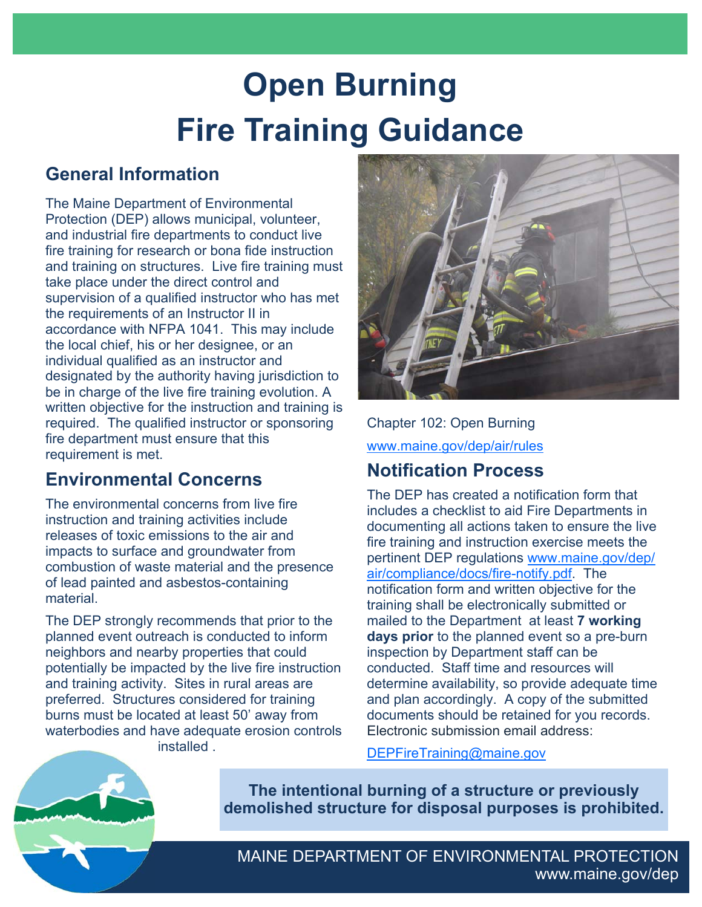# **Open Burning Fire Training Guidance**

# **General Information**

The Maine Department of Environmental Protection (DEP) allows municipal, volunteer, and industrial fire departments to conduct live fire training for research or bona fide instruction and training on structures. Live fire training must take place under the direct control and supervision of a qualified instructor who has met the requirements of an Instructor II in accordance with NFPA 1041. This may include the local chief, his or her designee, or an individual qualified as an instructor and designated by the authority having jurisdiction to be in charge of the live fire training evolution. A written objective for the instruction and training is required. The qualified instructor or sponsoring fire department must ensure that this requirement is met.

# **Environmental Concerns**

The environmental concerns from live fire instruction and training activities include releases of toxic emissions to the air and impacts to surface and groundwater from combustion of waste material and the presence of lead painted and asbestos-containing material.

The DEP strongly recommends that prior to the planned event outreach is conducted to inform neighbors and nearby properties that could potentially be impacted by the live fire instruction and training activity. Sites in rural areas are preferred. Structures considered for training burns must be located at least 50' away from waterbodies and have adequate erosion controls installed .



Chapter 102: Open Burning [www.maine.gov/dep/air/rules](https://www.maine.gov/dep/air/rules/index.html)

# **Notification Process**

The DEP has created a notification form that includes a checklist to aid Fire Departments in documenting all actions taken to ensure the live fire training and instruction exercise meets the pertinent DEP regulations [www.maine.gov/dep/](https://www.maine.gov/dep/air/compliance/docs/fire-notify.pdf) [air/compliance/docs/fire-notify.pdf](https://www.maine.gov/dep/air/compliance/docs/fire-notify.pdf). The notification form and written objective for the training shall be electronically submitted or mailed to the Department at least **7 working days prior** to the planned event so a pre-burn inspection by Department staff can be conducted. Staff time and resources will determine availability, so provide adequate time and plan accordingly. A copy of the submitted documents should be retained for you records. Electronic submission email address:

DEPFireTraining@maine.gov

**The intentional burning of a structure or previously demolished structure for disposal purposes is prohibited.**

MAINE DEPARTMENT OF ENVIRONMENTAL PROTECTION www.maine.gov/dep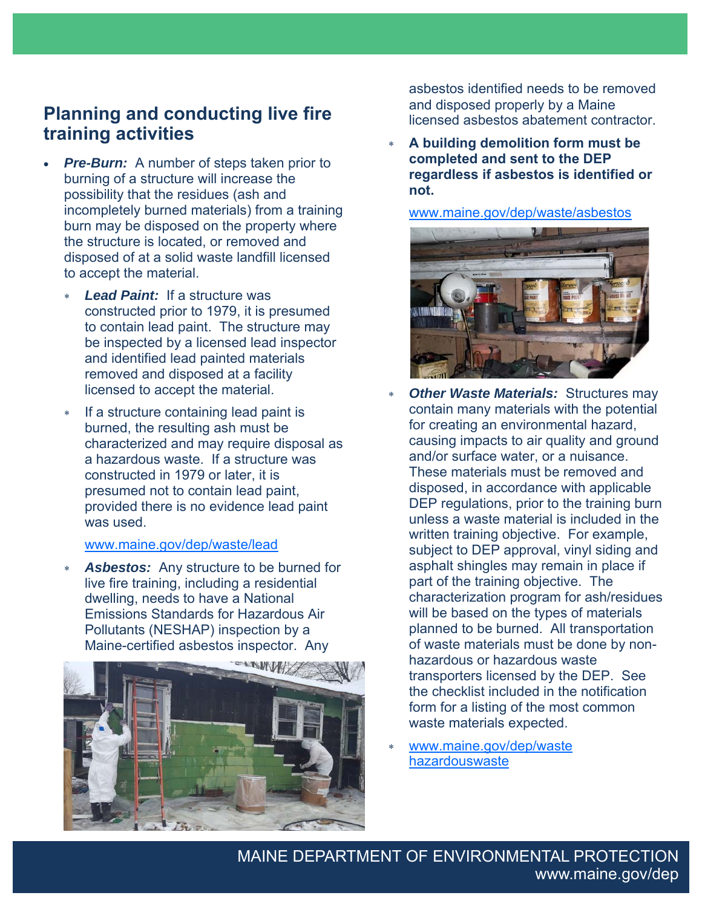# **Planning and conducting live fire training activities**

- **Pre-Burn:** A number of steps taken prior to burning of a structure will increase the possibility that the residues (ash and incompletely burned materials) from a training burn may be disposed on the property where the structure is located, or removed and disposed of at a solid waste landfill licensed to accept the material.
	- *Lead Paint:* If a structure was constructed prior to 1979, it is presumed to contain lead paint. The structure may be inspected by a licensed lead inspector and identified lead painted materials removed and disposed at a facility licensed to accept the material.
	- \* If a structure containing lead paint is burned, the resulting ash must be characterized and may require disposal as a hazardous waste. If a structure was constructed in 1979 or later, it is presumed not to contain lead paint, provided there is no evidence lead paint was used.

## [www.maine.gov/dep/waste/lead](https://www.maine.gov/dep/waste/lead/index.html)

Asbestos: Any structure to be burned for live fire training, including a residential dwelling, needs to have a National Emissions Standards for Hazardous Air Pollutants (NESHAP) inspection by a Maine-certified asbestos inspector. Any



asbestos identified needs to be removed and disposed properly by a Maine licensed asbestos abatement contractor.

 **A building demolition form must be completed and sent to the DEP regardless if asbestos is identified or not.** 

[www.maine.gov/dep/waste/asbestos](https://www.maine.gov/dep/waste/asbestos/index.html)



- **Other Waste Materials: Structures may** contain many materials with the potential for creating an environmental hazard, causing impacts to air quality and ground and/or surface water, or a nuisance. These materials must be removed and disposed, in accordance with applicable DEP regulations, prior to the training burn unless a waste material is included in the written training objective. For example, subject to DEP approval, vinyl siding and asphalt shingles may remain in place if part of the training objective. The characterization program for ash/residues will be based on the types of materials planned to be burned. All transportation of waste materials must be done by nonhazardous or hazardous waste transporters licensed by the DEP. See the checklist included in the notification form for a listing of the most common waste materials expected.
- [www.maine.gov/dep/waste](https://www.maine.gov/dep/waste/hazardouswaste/index.html)  hazardouswaste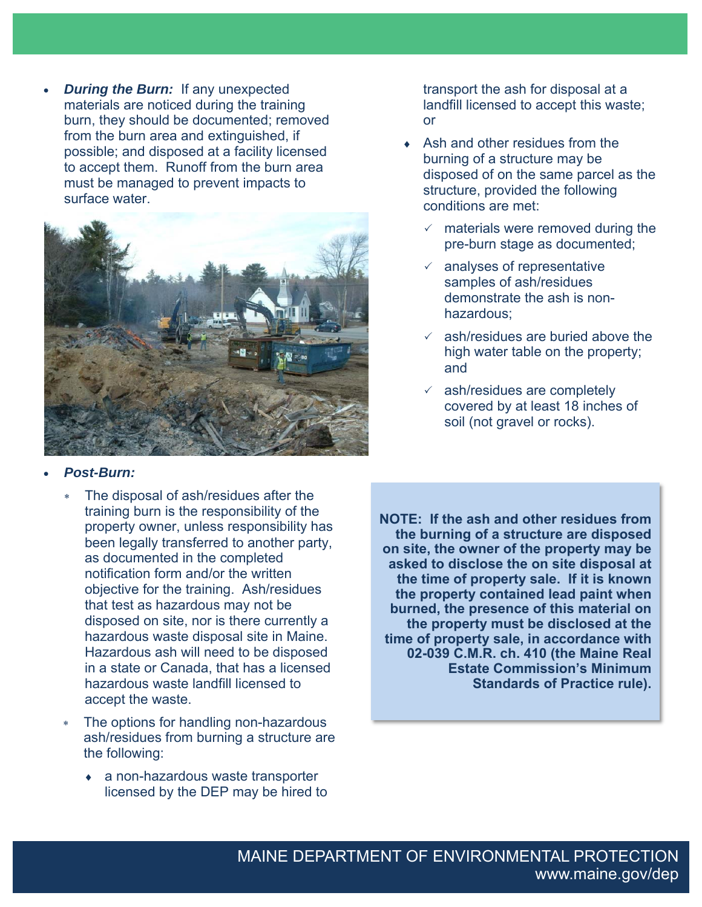*During the Burn:* If any unexpected materials are noticed during the training burn, they should be documented; removed from the burn area and extinguished, if possible; and disposed at a facility licensed to accept them. Runoff from the burn area must be managed to prevent impacts to surface water.



## *Post-Burn:*

- The disposal of ash/residues after the training burn is the responsibility of the property owner, unless responsibility has been legally transferred to another party, as documented in the completed notification form and/or the written objective for the training. Ash/residues that test as hazardous may not be disposed on site, nor is there currently a hazardous waste disposal site in Maine. Hazardous ash will need to be disposed in a state or Canada, that has a licensed hazardous waste landfill licensed to accept the waste.
- The options for handling non-hazardous ash/residues from burning a structure are the following:
	- a non-hazardous waste transporter licensed by the DEP may be hired to

transport the ash for disposal at a landfill licensed to accept this waste; or

- Ash and other residues from the burning of a structure may be disposed of on the same parcel as the structure, provided the following conditions are met:
	- $\checkmark$  materials were removed during the pre-burn stage as documented;
	- $\times$  analyses of representative samples of ash/residues demonstrate the ash is nonhazardous;
	- $\checkmark$  ash/residues are buried above the high water table on the property; and
	- $\times$  ash/residues are completely covered by at least 18 inches of soil (not gravel or rocks).

**NOTE: If the ash and other residues from the burning of a structure are disposed on site, the owner of the property may be asked to disclose the on site disposal at the time of property sale. If it is known the property contained lead paint when burned, the presence of this material on the property must be disclosed at the time of property sale, in accordance with 02-039 C.M.R. ch. 410 (the Maine Real Estate Commission's Minimum Standards of Practice rule).**